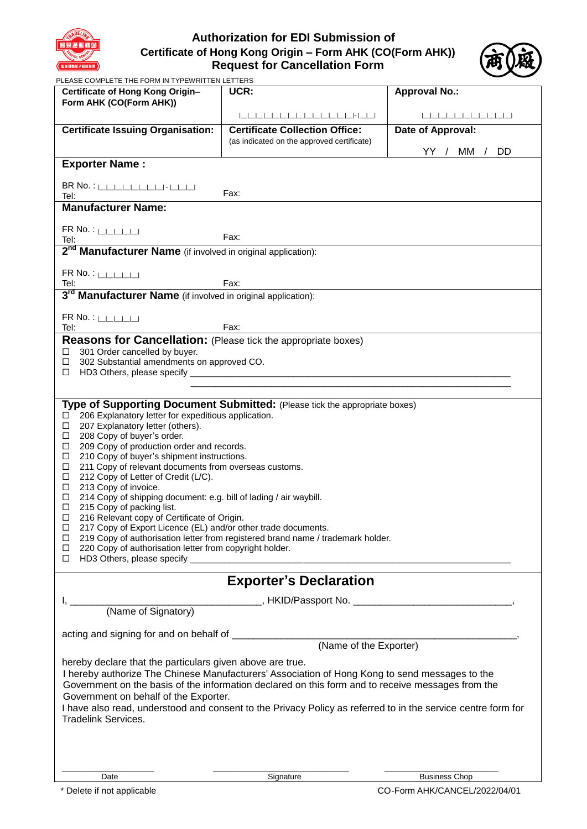

# **Authorization for EDI Submission of Certificate of Hong Kong Origin – Form AHK (CO(Form AHK)) Request for Cancellation Form**



PLEASE COMPLETE THE FORM IN TYPEWRITTEN LETTERS

| Certificate of Hong Kong Origin-                                                                                                                                                                                                          | UCR:                                       | <b>Approval No.:</b> |
|-------------------------------------------------------------------------------------------------------------------------------------------------------------------------------------------------------------------------------------------|--------------------------------------------|----------------------|
| Form AHK (CO(Form AHK))                                                                                                                                                                                                                   |                                            |                      |
| <b>Certificate Issuing Organisation:</b>                                                                                                                                                                                                  | <b>Certificate Collection Office:</b>      | Date of Approval:    |
|                                                                                                                                                                                                                                           | (as indicated on the approved certificate) |                      |
| <b>Exporter Name:</b>                                                                                                                                                                                                                     |                                            | YY / MM / DD         |
|                                                                                                                                                                                                                                           |                                            |                      |
| $BR \, No. : \$<br>Fax:<br>Tel:                                                                                                                                                                                                           |                                            |                      |
| <b>Manufacturer Name:</b>                                                                                                                                                                                                                 |                                            |                      |
| $FR$ No. : $\Box$<br>Fax:                                                                                                                                                                                                                 |                                            |                      |
| Tel:<br>2 <sup>nd</sup> Manufacturer Name (if involved in original application):                                                                                                                                                          |                                            |                      |
|                                                                                                                                                                                                                                           |                                            |                      |
| $FR$ No. : $\Box$                                                                                                                                                                                                                         |                                            |                      |
| Tel: Fax: Fax: Fax: Fax: Fax: Fax: Tel: Tel: Tel: Tel: 3 <sup>rd</sup> Manufacturer Name (if involved in original application):                                                                                                           |                                            |                      |
| $FR$ No. : $\Box$                                                                                                                                                                                                                         |                                            |                      |
| Fax:<br>Tel:                                                                                                                                                                                                                              |                                            |                      |
| <b>Reasons for Cancellation:</b> (Please tick the appropriate boxes)<br>301 Order cancelled by buyer.<br>□                                                                                                                                |                                            |                      |
| 302 Substantial amendments on approved CO.<br>$\Box$                                                                                                                                                                                      |                                            |                      |
| □<br><u> 1989 - Johann John Stein, mars et al. 1989 - John Stein, mars et al. 1989 - John Stein, mars et al. 1989 - John Stein, mars et al. 1989 - John Stein, mars et al. 1989 - John Stein, mars et al. 1989 - John Stein, mars et </u> |                                            |                      |
| Type of Supporting Document Submitted: (Please tick the appropriate boxes)                                                                                                                                                                |                                            |                      |
| 206 Explanatory letter for expeditious application.                                                                                                                                                                                       |                                            |                      |
| 207 Explanatory letter (others).<br>$\Box$                                                                                                                                                                                                |                                            |                      |
| 208 Copy of buyer's order.<br>$\Box$<br>209 Copy of production order and records.<br>□                                                                                                                                                    |                                            |                      |
| 210 Copy of buyer's shipment instructions.<br>$\Box$                                                                                                                                                                                      |                                            |                      |
| 211 Copy of relevant documents from overseas customs.<br>$\Box$<br>212 Copy of Letter of Credit (L/C).<br>$\Box$                                                                                                                          |                                            |                      |
| 213 Copy of invoice.<br>$\Box$                                                                                                                                                                                                            |                                            |                      |
| 214 Copy of shipping document: e.g. bill of lading / air waybill.<br>$\Box$<br>$\Box$<br>215 Copy of packing list.                                                                                                                        |                                            |                      |
| 216 Relevant copy of Certificate of Origin.<br>$\Box$                                                                                                                                                                                     |                                            |                      |
| $\Box$<br>217 Copy of Export Licence (EL) and/or other trade documents.<br>219 Copy of authorisation letter from registered brand name / trademark holder.<br>$\Box$                                                                      |                                            |                      |
| 220 Copy of authorisation letter from copyright holder.<br>$\Box$<br>□                                                                                                                                                                    |                                            |                      |
| <u> 1989 - Jan Barnett, mars et al. (b. 1989)</u>                                                                                                                                                                                         |                                            |                      |
| <b>Exporter's Declaration</b>                                                                                                                                                                                                             |                                            |                      |
| (Name of Signatory) MKID/Passport No. 2008. All Communications (Name of Signatory)                                                                                                                                                        |                                            |                      |
|                                                                                                                                                                                                                                           |                                            |                      |
|                                                                                                                                                                                                                                           |                                            |                      |
|                                                                                                                                                                                                                                           |                                            |                      |
| hereby declare that the particulars given above are true.<br>I hereby authorize The Chinese Manufacturers' Association of Hong Kong to send messages to the                                                                               |                                            |                      |
| Government on the basis of the information declared on this form and to receive messages from the                                                                                                                                         |                                            |                      |
| Government on behalf of the Exporter.                                                                                                                                                                                                     |                                            |                      |
| I have also read, understood and consent to the Privacy Policy as referred to in the service centre form for<br><b>Tradelink Services.</b>                                                                                                |                                            |                      |
|                                                                                                                                                                                                                                           |                                            |                      |
|                                                                                                                                                                                                                                           |                                            |                      |
|                                                                                                                                                                                                                                           |                                            |                      |
| Date                                                                                                                                                                                                                                      | Signature                                  | <b>Business Chop</b> |